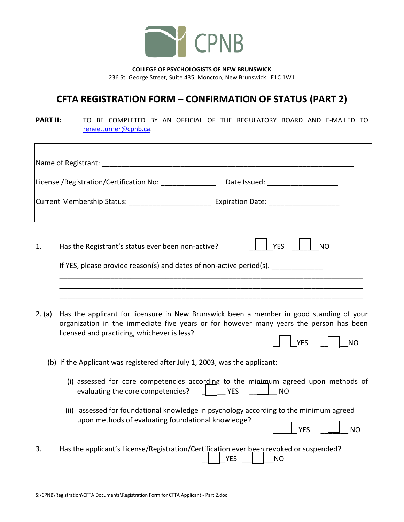

**COLLEGE OF PSYCHOLOGISTS OF NEW BRUNSWICK** 236 St. George Street, Suite 435, Moncton, New Brunswick E1C 1W1

## **CFTA REGISTRATION FORM – CONFIRMATION OF STATUS (PART 2)**

**PART II:** TO BE COMPLETED BY AN OFFICIAL OF THE REGULATORY BOARD AND E-MAILED TO [renee.turner@cpnb.ca.](mailto:renee.turner@cpnb.ca)

| Name of Registrant: Name of Registrant and the contract of the contract of the contract of the contract of the |                                                                                                                                                                                                                                                             |  |
|----------------------------------------------------------------------------------------------------------------|-------------------------------------------------------------------------------------------------------------------------------------------------------------------------------------------------------------------------------------------------------------|--|
|                                                                                                                | Date Issued: ____________________<br>License /Registration/Certification No: _______________                                                                                                                                                                |  |
|                                                                                                                |                                                                                                                                                                                                                                                             |  |
| 1.                                                                                                             | <b>YES</b><br>Has the Registrant's status ever been non-active?<br><b>NO</b><br>If YES, please provide reason(s) and dates of non-active period(s).                                                                                                         |  |
| 2. (a)                                                                                                         | Has the applicant for licensure in New Brunswick been a member in good standing of your<br>organization in the immediate five years or for however many years the person has been<br>licensed and practicing, whichever is less?<br><b>YES</b><br><b>NO</b> |  |
|                                                                                                                | (b) If the Applicant was registered after July 1, 2003, was the applicant:                                                                                                                                                                                  |  |
|                                                                                                                | (i) assessed for core competencies according to the mipimum agreed upon methods of<br>evaluating the core competencies?<br><b>YES</b><br>$\vert$ $\vert$ NO                                                                                                 |  |
|                                                                                                                | (ii) assessed for foundational knowledge in psychology according to the minimum agreed<br>upon methods of evaluating foundational knowledge?<br><b>YES</b><br><b>NO</b>                                                                                     |  |
| 3.                                                                                                             | Has the applicant's License/Registration/Certification ever been revoked or suspended?<br><b>YES</b><br><b>NO</b>                                                                                                                                           |  |